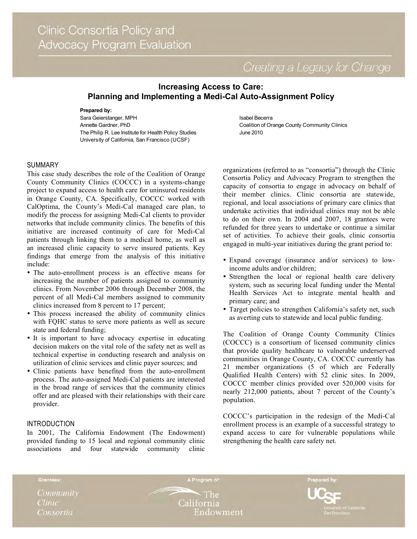Creating a Legacy for Change

# **Increasing Access to Care: Planning and Implementing a Medi-Cal Auto-Assignment Policy**

#### **Prepared by:**

Sara Geierstanger, MPH Annette Gardner, PhD The Philip R. Lee Institute for Health Policy Studies University of California, San Francisco (UCSF)

### SUMMARY

This case study describes the role of the Coalition of Orange County Community Clinics (COCCC) in a systems-change project to expand access to health care for uninsured residents in Orange County, CA. Specifically, COCCC worked with CalOptima, the County's Medi-Cal managed care plan, to modify the process for assigning Medi-Cal clients to provider networks that include community clinics. The benefits of this initiative are increased continuity of care for Medi-Cal patients through linking them to a medical home, as well as an increased clinic capacity to serve insured patients. Key findings that emerge from the analysis of this initiative include:

- The auto-enrollment process is an effective means for increasing the number of patients assigned to community clinics. From November 2006 through December 2008, the percent of all Medi-Cal members assigned to community clinics increased from 8 percent to 17 percent;
- This process increased the ability of community clinics with FQHC status to serve more patients as well as secure state and federal funding;
- It is important to have advocacy expertise in educating decision makers on the vital role of the safety net as well as technical expertise in conducting research and analysis on utilization of clinic services and clinic payer sources; and
- Clinic patients have benefited from the auto-enrollment process. The auto-assigned Medi-Cal patients are interested in the broad range of services that the community clinics offer and are pleased with their relationships with their care provider.

### INTRODUCTION

In 2001, The California Endowment (The Endowment) provided funding to 15 local and regional community clinic associations and four statewide community clinic

Isabel Becerra Coalition of Orange County Community Clinics June 2010

organizations (referred to as "consortia") through the Clinic Consortia Policy and Advocacy Program to strengthen the capacity of consortia to engage in advocacy on behalf of their member clinics. Clinic consortia are statewide, regional, and local associations of primary care clinics that undertake activities that individual clinics may not be able to do on their own. In 2004 and 2007, 18 grantees were refunded for three years to undertake or continue a similar set of activities. To achieve their goals, clinic consortia engaged in multi-year initiatives during the grant period to:

- Expand coverage (insurance and/or services) to lowincome adults and/or children;
- Strengthen the local or regional health care delivery system, such as securing local funding under the Mental Health Services Act to integrate mental health and primary care; and
- Target policies to strengthen California's safety net, such as averting cuts to statewide and local public funding.

The Coalition of Orange County Community Clinics (COCCC) is a consortium of licensed community clinics that provide quality healthcare to vulnerable underserved communities in Orange County, CA. COCCC currently has 21 member organizations (5 of which are Federally Qualified Health Centers) with 52 clinic sites. In 2009, COCCC member clinics provided over 520,000 visits for nearly 212,000 patients, about 7 percent of the County's population.

COCCC's participation in the redesign of the Medi-Cal enrollment process is an example of a successful strategy to expand access to care for vulnerable populations while strengthening the health care safety net.

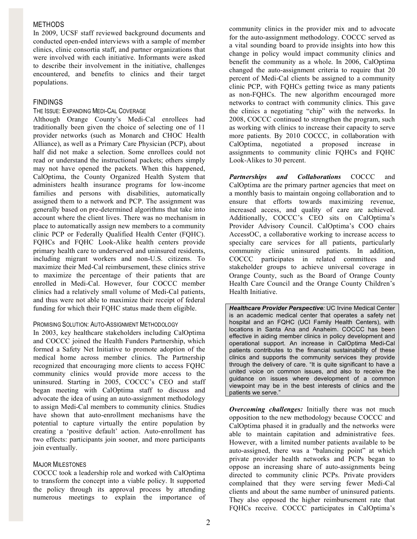### METHODS

In 2009, UCSF staff reviewed background documents and conducted open-ended interviews with a sample of member clinics, clinic consortia staff, and partner organizations that were involved with each initiative. Informants were asked to describe their involvement in the initiative, challenges encountered, and benefits to clinics and their target populations.

# FINDINGS

## THE ISSUE: EXPANDING MEDI-CAL COVERAGE

Although Orange County's Medi-Cal enrollees had traditionally been given the choice of selecting one of 11 provider networks (such as Monarch and CHOC Health Alliance), as well as a Primary Care Physician (PCP), about half did not make a selection. Some enrollees could not read or understand the instructional packets; others simply may not have opened the packets. When this happened, CalOptima, the County Organized Health System that administers health insurance programs for low-income families and persons with disabilities, automatically assigned them to a network and PCP. The assignment was generally based on pre-determined algorithms that take into account where the client lives. There was no mechanism in place to automatically assign new members to a community clinic PCP or Federally Qualified Health Center (FQHC). FQHCs and FQHC Look-Alike health centers provide primary health care to underserved and uninsured residents, including migrant workers and non-U.S. citizens. To maximize their Med-Cal reimbursement, these clinics strive to maximize the percentage of their patients that are enrolled in Medi-Cal. However, four COCCC member clinics had a relatively small volume of Medi-Cal patients, and thus were not able to maximize their receipt of federal funding for which their FQHC status made them eligible.

### PROMISING SOLUTION: AUTO-ASSIGNMENT METHODOLOGY

In 2003, key healthcare stakeholders including CalOptima and COCCC joined the Health Funders Partnership, which formed a Safety Net Initiative to promote adoption of the medical home across member clinics. The Partnership recognized that encouraging more clients to access FQHC community clinics would provide more access to the uninsured. Starting in 2005, COCCC's CEO and staff began meeting with CalOptima staff to discuss and advocate the idea of using an auto-assignment methodology to assign Medi-Cal members to community clinics. Studies have shown that auto-enrollment mechanisms have the potential to capture virtually the entire population by creating a 'positive default' action. Auto-enrollment has two effects: participants join sooner, and more participants join eventually.

### MAJOR MILESTONES

COCCC took a leadership role and worked with CalOptima to transform the concept into a viable policy. It supported the policy through its approval process by attending numerous meetings to explain the importance of community clinics in the provider mix and to advocate for the auto-assignment methodology. COCCC served as a vital sounding board to provide insights into how this change in policy would impact community clinics and benefit the community as a whole. In 2006, CalOptima changed the auto-assignment criteria to require that 20 percent of Medi-Cal clients be assigned to a community clinic PCP, with FQHCs getting twice as many patients as non-FQHCs. The new algorithm encouraged more networks to contract with community clinics. This gave the clinics a negotiating "chip" with the networks. In 2008, COCCC continued to strengthen the program, such as working with clinics to increase their capacity to serve more patients. By 2010 COCCC, in collaboration with CalOptima, negotiated a proposed increase in assignments to community clinic FQHCs and FQHC Look-Alikes to 30 percent.

*Partnerships and Collaborations* COCCC and CalOptima are the primary partner agencies that meet on a monthly basis to maintain ongoing collaboration and to ensure that efforts towards maximizing revenue, increased access, and quality of care are achieved. Additionally, COCCC's CEO sits on CalOptima's Provider Advisory Council. CalOptima's COO chairs AccessOC, a collaborative working to increase access to specialty care services for all patients, particularly community clinic uninsured patients. In addition, COCCC participates in related committees and stakeholder groups to achieve universal coverage in Orange County, such as the Board of Orange County Health Care Council and the Orange County Children's Health Initiative.

*Healthcare Provider Perspective:* UC Irvine Medical Center is an academic medical center that operates a safety net hospital and an FQHC (UCI Family Health Centers), with locations in Santa Ana and Anaheim. COCCC has been effective in aiding member clinics in policy development and operational support. An increase in CalOptima Medi-Cal patients contributes to the financial sustainability of these clinics and supports the community services they provide through the delivery of care. "It is quite significant to have a united voice on common issues, and also to receive the guidance on issues where development of a common viewpoint may be in the best interests of clinics and the patients we serve."

*Overcoming challenges:* Initially there was not much opposition to the new methodology because COCCC and CalOptima phased it in gradually and the networks were able to maintain capitation and administrative fees. However, with a limited number patients available to be auto-assigned, there was a "balancing point" at which private provider health networks and PCPs began to oppose an increasing share of auto-assignments being directed to community clinic PCPs. Private providers complained that they were serving fewer Medi-Cal clients and about the same number of uninsured patients. They also opposed the higher reimbursement rate that FQHCs receive. COCCC participates in CalOptima's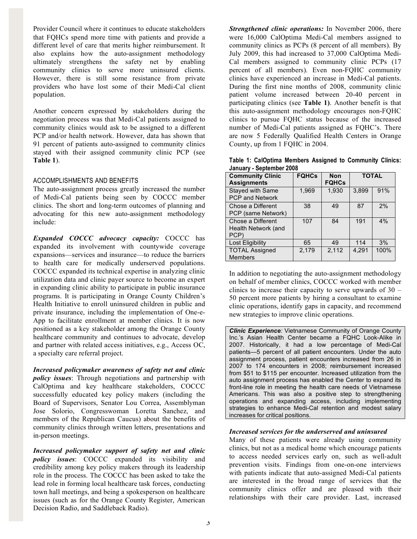Provider Council where it continues to educate stakeholders that FQHCs spend more time with patients and provide a different level of care that merits higher reimbursement. It also explains how the auto-assignment methodology ultimately strengthens the safety net by enabling community clinics to serve more uninsured clients. However, there is still some resistance from private providers who have lost some of their Medi-Cal client population.

Another concern expressed by stakeholders during the negotiation process was that Medi-Cal patients assigned to community clinics would ask to be assigned to a different PCP and/or health network. However, data has shown that 91 percent of patients auto-assigned to community clinics stayed with their assigned community clinic PCP (see **Table 1**).

### ACCOMPLISHMENTS AND BENEFITS

The auto-assignment process greatly increased the number of Medi-Cal patients being seen by COCCC member clinics. The short and long-term outcomes of planning and advocating for this new auto-assignment methodology include:

*Expanded COCCC advocacy capacity:* COCCC has expanded its involvement with countywide coverage expansions—services and insurance—to reduce the barriers to health care for medically underserved populations. COCCC expanded its technical expertise in analyzing clinic utilization data and clinic payer source to become an expert in expanding clinic ability to participate in public insurance programs. It is participating in Orange County Children's Health Initiative to enroll uninsured children in public and private insurance, including the implementation of One-e-App to facilitate enrollment at member clinics. It is now positioned as a key stakeholder among the Orange County healthcare community and continues to advocate, develop and partner with related access initiatives, e.g., Access OC, a specialty care referral project.

*Increased policymaker awareness of safety net and clinic policy issues*: Through negotiations and partnership with CalOptima and key healthcare stakeholders, COCCC successfully educated key policy makers (including the Board of Supervisors, Senator Lou Correa, Assemblyman Jose Solorio, Congresswoman Loretta Sanchez, and members of the Republican Caucus) about the benefits of community clinics through written letters, presentations and in-person meetings.

*Increased policymaker support of safety net and clinic policy issues*: COCCC expanded its visibility and credibility among key policy makers through its leadership role in the process. The COCCC has been asked to take the lead role in forming local healthcare task forces, conducting town hall meetings, and being a spokesperson on healthcare issues (such as for the Orange County Register, American Decision Radio, and Saddleback Radio).

*Strengthened clinic operations:* In November 2006, there were 16,000 CalOptima Medi-Cal members assigned to community clinics as PCPs (8 percent of all members). By July 2009, this had increased to 37,000 CalOptima Medi-Cal members assigned to community clinic PCPs (17 percent of all members). Even non-FQHC community clinics have experienced an increase in Medi-Cal patients. During the first nine months of 2008, community clinic patient volume increased between 20-40 percent in participating clinics (see **Table 1)**. Another benefit is that this auto-assignment methodology encourages non-FQHC clinics to pursue FQHC status because of the increased number of Medi-Cal patients assigned as FQHC's. There are now 5 Federally Qualified Health Centers in Orange County, up from 1 FQHC in 2004.

**Table 1: CalOptima Members Assigned to Community Clinics: January - September 2008**

| <b>Community Clinic</b><br><b>Assignments</b>    | <b>FQHCs</b> | <b>Non</b><br><b>FQHCs</b> | <b>TOTAL</b> |      |
|--------------------------------------------------|--------------|----------------------------|--------------|------|
| Stayed with Same<br><b>PCP and Network</b>       | 1,969        | 1,930                      | 3.899        | 91%  |
| Chose a Different<br>PCP (same Network)          | 38           | 49                         | 87           | 2%   |
| Chose a Different<br>Health Network (and<br>PCP) | 107          | 84                         | 191          | 4%   |
| Lost Eligibility                                 | 65           | 49                         | 114          | 3%   |
| <b>TOTAL Assigned</b><br><b>Members</b>          | 2,179        | 2,112                      | 4,291        | 100% |

In addition to negotiating the auto-assignment methodology on behalf of member clinics, COCCC worked with member clinics to increase their capacity to serve upwards of 30 – 50 percent more patients by hiring a consultant to examine clinic operations, identify gaps in capacity, and recommend new strategies to improve clinic operations.

*Clinic Experience:* Vietnamese Community of Orange County Inc.'s Asian Health Center became a FQHC Look-Alike in 2007. Historically, it had a low percentage of Medi-Cal patients—5 percent of all patient encounters. Under the auto assignment process, patient encounters increased from 26 in 2007 to 174 encounters in 2008; reimbursement increased from \$51 to \$115 per encounter. Increased utilization from the auto assignment process has enabled the Center to expand its front-line role in meeting the health care needs of Vietnamese Americans. This was also a positive step to strengthening operations and expanding access, including implementing strategies to enhance Medi-Cal retention and modest salary increases for critical positions.

### *Increased services for the underserved and uninsured*

Many of these patients were already using community clinics, but not as a medical home which encourage patients to access needed services early on, such as well-adult prevention visits. Findings from one-on-one interviews with patients indicate that auto-assigned Medi-Cal patients are interested in the broad range of services that the community clinics offer and are pleased with their relationships with their care provider. Last, increased